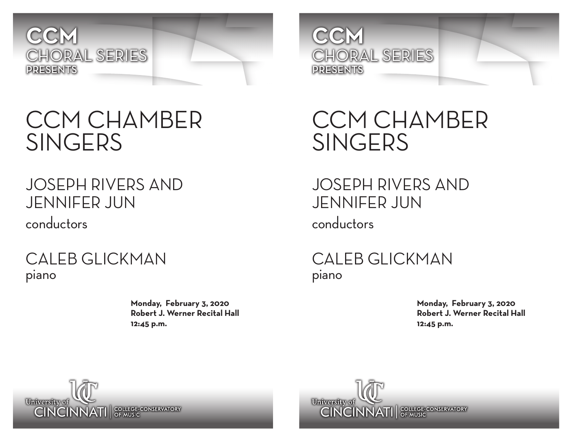

## CCM CHAMBER SINGERS

#### JOSEPH RIVERS AND JENNIFER JUN conductors

CALEB GLICKMAN piano

> **Monday, February 3, 2020 Robert J. Werner Recital Hall 12:45 p.m.**



CCM CHAMBER **SINGERS** 

JOSEPH RIVERS AND JENNIFER JUN conductors

CALEB GLICKMAN piano

> **Monday, February 3, 2020 Robert J. Werner Recital Hall 12:45 p.m.**